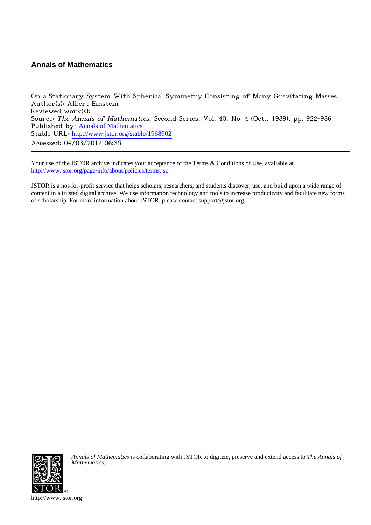# **Annals of Mathematics**

On a Stationary System With Spherical Symmetry Consisting of Many Gravitating Masses Author(s): Albert Einstein Reviewed work(s): Source: The Annals of Mathematics, Second Series, Vol. 40, No. 4 (Oct., 1939), pp. 922-936 Published by: [Annals of Mathematics](http://www.jstor.org/action/showPublisher?publisherCode=annals) Stable URL: [http://www.jstor.org/stable/1968902](http://www.jstor.org/stable/1968902?origin=JSTOR-pdf) Accessed: 04/03/2012 06:35

Your use of the JSTOR archive indicates your acceptance of the Terms & Conditions of Use, available at <http://www.jstor.org/page/info/about/policies/terms.jsp>

JSTOR is a not-for-profit service that helps scholars, researchers, and students discover, use, and build upon a wide range of content in a trusted digital archive. We use information technology and tools to increase productivity and facilitate new forms of scholarship. For more information about JSTOR, please contact support@jstor.org.



*Annals of Mathematics* is collaborating with JSTOR to digitize, preserve and extend access to *The Annals of Mathematics.*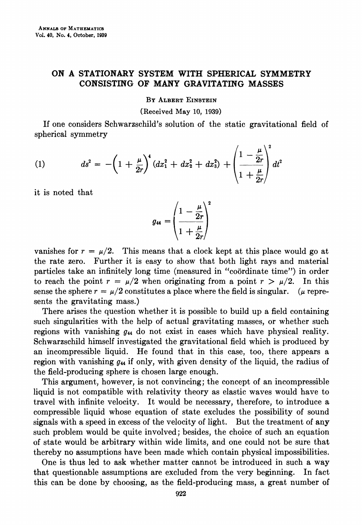# ON A STATIONARY SYSTEM WITH SPHERICAL SYMMETRY CONSISTING OF MANY GRAVITATING MASSES

BY ALBERT EINSTEIN

(Received May 10, 1939)

If one considers Schwarzschild's solution of the static gravitational field of spherical symmetry

(1) 
$$
ds^{2} = -\left(1 + \frac{\mu}{2r}\right)^{4} (dx_{1}^{2} + dx_{2}^{2} + dx_{3}^{2}) + \left(\frac{1 - \frac{\mu}{2r}}{1 + \frac{\mu}{2r}}\right)^{2} dt^{2}
$$

it is noted that

$$
g_{44} = \left(\frac{1-\frac{\mu}{2r}}{1+\frac{\mu}{2r}}\right)^2
$$

vanishes for  $r = \mu/2$ . This means that a clock kept at this place would go at the rate zero. Further it is easy to show that both light rays and material particles take an infinitely long time (measured in "coordinate time") in order to reach the point  $r = \mu/2$  when originating from a point  $r > \mu/2$ . In this sense the sphere  $r = \mu/2$  constitutes a place where the field is singular. ( $\mu$  represents the gravitating mass.)

There arises the question whether it is possible to build up a field containing such singularities with the help of actual gravitating masses, or whether such regions with vanishing  $q_{44}$  do not exist in cases which have physical reality. Schwarzschild himself investigated the gravitational field which is produced by an incompressible liquid. He found that in this case, too, there appears a region with vanishing  $q_{44}$  if only, with given density of the liquid, the radius of the field-producing sphere is chosen large enough.

This argument, however, is not convincing; the concept of an incompressible liquid is not compatible with relativity theory as elastic waves would have to travel with infinite velocity. It would be necessary, therefore, to introduce a compressible liquid whose equation of state excludes the possibility of sound signals with a speed in excess of the velocity of light. But the treatment of any such problem would be quite involved; besides, the choice of such an equation of state would be arbitrary within wide limits, and one could not be sure that thereby no assumptions have been made which contain physical impossibilities.

One is thus led to ask whether matter cannot be introduced in such a way that questionable assumptions are excluded from the very beginning. In fact this can be done by choosing, as the field-producing mass, a great number of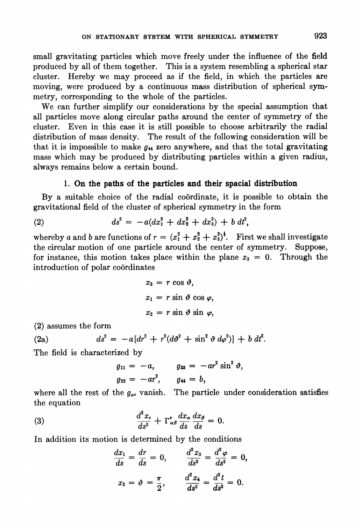small gravitating particles which move freely under the influence of the field produced by all of them together. This is a system resembling a spherical star cluster. Hereby we may proceed as if the field, in which the particles are moving, were produced by a continuous mass distribution of spherical symmetry, corresponding to the whole of the particles.

We can further simplify our considerations by the special assumption that all particles move along circular paths around the center of symmetry of the cluster. Even in this case it is still possible to choose arbitrarily the radial distribution of mass density. The result of the following consideration will be that it is impossible to make  $g_{44}$  zero anywhere, and that the total gravitating mass which may be produced by distributing particles within a given radius, always remains below a certain bound.

# 1. On the paths of the particles and their spacial distribution

By a suitable choice of the radial coordinate, it is possible to obtain the gravitational field of the cluster of spherical symmetry in the form

(2) 
$$
ds^2 = -a(dx_1^2 + dx_2^2 + dx_3^2) + b dt^2,
$$

whereby a and b are functions of  $r = (x_1^2 + x_2^2 + x_3^2)^{\frac{1}{2}}$ . First we shall investigate the circular motion of one particle around the center of symmetry. Suppose, for instance, this motion takes place within the plane  $x_3 = 0$ . Through the introduction of polar coordinates

$$
x_3 = r \cos \vartheta,
$$
  
\n
$$
x_1 = r \sin \vartheta \cos \varphi,
$$
  
\n
$$
x_2 = r \sin \vartheta \sin \varphi,
$$

(2) assumes the form

(2a) 
$$
ds^{2} = -a[dr^{2} + r^{2}(d\vartheta^{2} + \sin^{2}\vartheta d\varphi^{2})] + b dt^{2}.
$$

The field is characterized by

$$
g_{11} = -a,
$$
  $g_{33} = -ar^2 \sin^2 \vartheta,$   
 $g_{22} = -ar^2,$   $g_{44} = b,$ 

where all the rest of the  $g_{\mu\nu}$  vanish. The particle under consideration satisfies the equation

(3) 
$$
\frac{d^2x_r}{ds^2} + \Gamma^{\prime}_{\alpha\beta}\frac{dx_{\alpha}}{ds}\frac{dx_{\beta}}{ds} = 0.
$$

In addition its motion is determined by the conditions

$$
\frac{dx_1}{ds} = \frac{dr}{ds} = 0, \qquad \frac{d^2x_3}{ds^2} = \frac{d^2\varphi}{ds^2} = 0,
$$
  

$$
x_2 = \vartheta = \frac{\pi}{2}, \qquad \frac{d^2x_4}{ds^2} = \frac{d^2t}{ds^2} = 0.
$$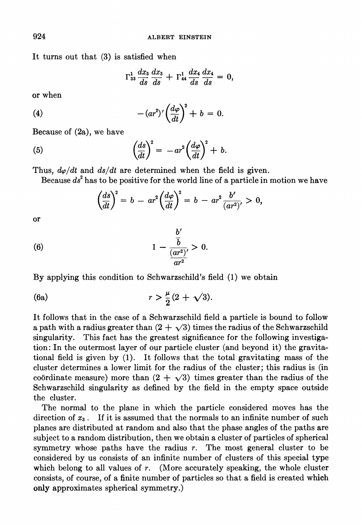It turns out that (3) is satisfied when

$$
\Gamma^{1}_{33}\frac{dx_{3}}{ds}\frac{dx_{3}}{ds}+\Gamma^{1}_{44}\frac{dx_{4}}{ds}\frac{dx_{4}}{ds}=0,
$$

or when

(4) 
$$
-(ar^2)' \left(\frac{d\varphi}{dt}\right)^2 + b = 0.
$$

Because of (2a), we have

(5) 
$$
\left(\frac{ds}{dt}\right)^2 = -ar^2\left(\frac{d\varphi}{dt}\right)^2 + b.
$$

Thus,  $d\varphi/dt$  and  $ds/dt$  are determined when the field is given.

Because  $ds<sup>2</sup>$  has to be positive for the world line of a particle in motion we have

$$
\left(\frac{ds}{dt}\right)^2 = b - ar^2 \left(\frac{d\varphi}{dt}\right)^2 = b - ar^2 \frac{b'}{(ar^2)'} > 0,
$$

or

(6) 
$$
1 - \frac{\frac{b'}{\bar{b}}}{\frac{(ar^2)}{ar^2}} > 0.
$$

By applying this condition to Schwarzschild's field (1) we obtain

(6a) 
$$
r > \frac{\mu}{2}(2 + \sqrt{3}).
$$

It follows that in the case of a Schwarzschild field a particle is bound to follow a path with a radius greater than  $(2 + \sqrt{3})$  times the radius of the Schwarzschild singularity. This fact has the greatest significance for the following investigation: In the outermost layer of our particle cluster (and beyond it) the gravitational field is given by (1). It follows that the total gravitating mass of the cluster determines a lower limit for the radius of the cluster; this radius is (in coordinate measure) more than  $(2 + \sqrt{3})$  times greater than the radius of the Schwarzschild singularity as defined by the field in the empty space outside the cluster.

The normal to the plane in which the particle considered moves has the direction of  $x_3$ . If it is assumed that the normals to an infinite number of such planes are distributed at random and also that the phase angles of the paths are subject to a random distribution, then we obtain a cluster of particles of spherical symmetry whose paths have the radius r. The most general cluster to be considered by us consists of an infinite number of clusters of this special type which belong to all values of  $r$ . (More accurately speaking, the whole cluster consists, of course, of a finite number of particles so that a field is created which only approximates spherical symmetry.)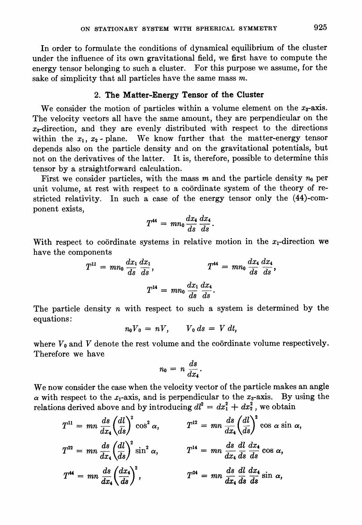In order to formulate the conditions of dynamical equilibrium of the cluster under the influence of its own gravitational field, we first have to compute the energy tensor belonging to such a cluster. For this purpose we assume, for the sake of simplicity that all particles have the same mass  $m$ .

# 2. The Matter-Energy Tensor of the Cluster

We consider the motion of particles within a volume element on the  $x_3$ -axis. The velocity vectors all have the same amount, they are perpendicular on the  $x_3$ -direction, and they are evenly distributed with respect to the directions within the  $x_1, x_2$ -plane. We know further that the matter-energy tensor depends also on the particle density and on the gravitational potentials, but not on the derivatives of the latter. It is, therefore, possible to determine this tensor by a straightforward calculation.

First we consider particles, with the mass  $m$  and the particle density  $n_0$  per unit volume, at rest with respect to a coordinate system of the theory of restricted relativity. In such a case of the energy tensor only the (44)-component exists,

$$
T^{44} = mn_0 \frac{dx_4}{ds} \frac{dx_4}{ds}.
$$

With respect to coordinate systems in relative motion in the  $x_1$ -direction we have the components

$$
T^{11} = mn_0 \frac{dx_1}{ds} \frac{dx_1}{ds}, \qquad T^{44} = mn_0 \frac{dx_4}{ds} \frac{dx_4}{ds},
$$

$$
T^{14} = mn_0 \frac{dx_1}{ds} \frac{dx_4}{ds}.
$$

The particle density *n* with respect to such a system is determined by the equations:

$$
n_0V_0 = nV, \qquad V_0 ds = V dt,
$$

where  $V_0$  and V denote the rest volume and the coordinate volume respectively. Therefore we have

$$
n_0 = n \frac{ds}{dx_4}.
$$

We now consider the case when the velocity vector of the particle makes an angle  $\alpha$  with respect to the x<sub>1</sub>-axis, and is perpendicular to the x<sub>3</sub>-axis. By using the relations derived above and by introducing  $dl^2 = dx_1^2 + dx_2^2$ , we obtain

$$
T^{11} = mn \frac{ds}{dx_4} \left(\frac{dl}{ds}\right)^2 \cos^2 \alpha, \qquad T^{12} = mn \frac{ds}{dx_4} \left(\frac{dl}{ds}\right)^2 \cos \alpha \sin \alpha,
$$
  
\n
$$
T^{22} = mn \frac{ds}{dx_4} \left(\frac{dl}{ds}\right)^2 \sin^2 \alpha, \qquad T^{14} = mn \frac{ds}{dx_4} \frac{dl}{ds} \frac{dx_4}{ds} \cos \alpha,
$$
  
\n
$$
T^{44} = mn \frac{ds}{dx_4} \left(\frac{dx_4}{ds}\right)^2, \qquad T^{24} = mn \frac{ds}{dx_4} \frac{dl}{ds} \frac{dx_4}{ds} \sin \alpha,
$$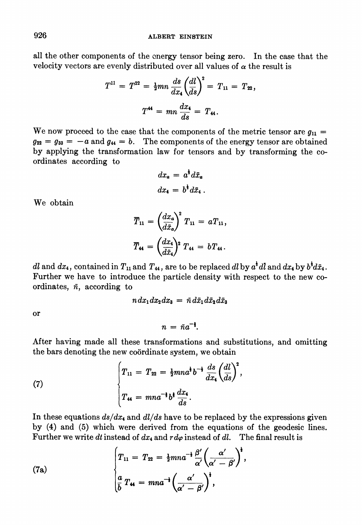all the other components of the energy tensor being zero. In the case that the velocity vectors are evenly distributed over all values of  $\alpha$  the result is

$$
T^{11} = T^{22} = \frac{1}{2}mn \frac{ds}{dx_4} \left(\frac{dl}{ds}\right)^2 = T_{11} = T_{22},
$$
  

$$
T^{44} = mn \frac{dx_4}{ds} = T_{44}.
$$

We now proceed to the case that the components of the metric tensor are  $g_{11} =$  $g_{22} = g_{33} = -a$  and  $g_{44} = b$ . The components of the energy tensor are obtained by applying the transformation law for tensors and by transforming the coordinates according to

$$
dx_a = a^{\dagger} d\bar{x}_a
$$

$$
dx_4 = b^{\dagger} d\bar{x}_4.
$$

We obtain

$$
\overline{T}_{11} = \left(\frac{dx_a}{d\overline{x}_a}\right)^2 T_{11} = aT_{11},
$$
\n
$$
\overline{T}_{44} = \left(\frac{dx_4}{d\overline{x}_4}\right)^2 T_{44} = bT_{44}.
$$

dl and  $dx_4$ , contained in  $T_{11}$  and  $T_{44}$ , are to be replaced dl by  $a^{\dagger}$ dl and  $dx_4$  by  $b^{\dagger}d\bar{x}_4$ . Further we have to introduce the particle density with respect to the new coordinates,  $\bar{n}$ , according to

 $n dx_1 dx_2 dx_3 = \bar{n} d\bar{x}_1 d\bar{x}_2 d\bar{x}_3$ 

or

$$
n = \bar{n}a^{-1}.
$$

After having made all these transformations and substitutions, and omitting the bars denoting the new coordinate system, we obtain

(7) 
$$
\begin{cases} T_{11} = T_{22} = \frac{1}{2}mn a^{\dagger} b^{-\dagger} \frac{ds}{dx_4} \left( \frac{dl}{ds} \right)^2, \\ T_{44} = mn a^{-\dagger} b^{\dagger} \frac{dx_4}{ds}. \end{cases}
$$

In these equations  $ds/dx_4$  and  $dl/ds$  have to be replaced by the expressions given by (4) and (5) which were derived from the equations of the geodesic lines. Further we write dt instead of  $dx_4$  and  $r d\varphi$  instead of dl. The final result is

(7a)  

$$
\begin{cases}\nT_{11} = T_{22} = \frac{1}{2}mn a^{-\frac{1}{2}} \frac{\beta'}{\alpha'} \left(\frac{\alpha'}{\alpha' - \beta'}\right)^{\frac{1}{2}},\\ \n\frac{a}{b} T_{44} = mn a^{-\frac{1}{2}} \left(\frac{\alpha'}{\alpha' - \beta'}\right)^{\frac{1}{2}},\n\end{cases}
$$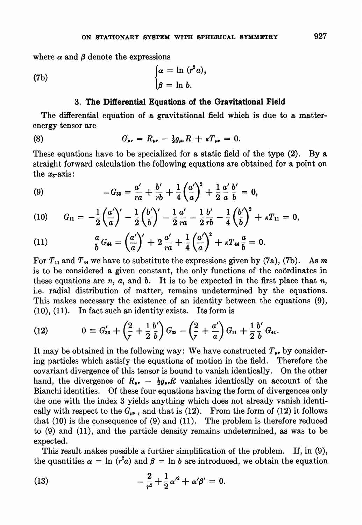where  $\alpha$  and  $\beta$  denote the expressions

(7b) 
$$
\begin{cases} \alpha = \ln (r^2 a), \\ \beta = \ln b. \end{cases}
$$

## 3. The Differential Equations of the Gravitational Field

The differential equation of a gravitational field which is due to a matterenergy tensor are

(8) 
$$
G_{\mu\nu} = R_{\mu\nu} - \frac{1}{2}g_{\mu\nu}R + \kappa T_{\mu\nu} = 0.
$$

These equations have to be specialized for a static field of the type (2). By a straight forward calculation the following equations are obtained for a point on the  $x_3$ -axis:

(9) 
$$
-G_{33} = \frac{a'}{ra} + \frac{b'}{rb} + \frac{1}{4} \left(\frac{a'}{a}\right)^2 + \frac{1}{2} \frac{a'}{a} \frac{b'}{b} = 0,
$$

(10) 
$$
G_{11} = -\frac{1}{2} \left( \frac{a'}{a} \right)' - \frac{1}{2} \left( \frac{b'}{b} \right)' - \frac{1}{2} \frac{a'}{ra} - \frac{1}{2} \frac{b'}{rb} - \frac{1}{4} \left( \frac{b'}{b} \right)^2 + \kappa T_{11} = 0,
$$

(11) 
$$
\frac{a}{b}G_{44} = \left(\frac{a'}{a}\right)' + 2\frac{a'}{ra} + \frac{1}{4}\left(\frac{a'}{a}\right)^2 + \kappa T_{44}\frac{a}{b} = 0.
$$

For  $T_{11}$  and  $T_{44}$  we have to substitute the expressions given by (7a), (7b). As m is to be considered a given constant, the only functions of the coordinates in these equations are  $n$ ,  $a$ , and  $b$ . It is to be expected in the first place that  $n$ , i.e. radial distribution of matter, remains undetermined by the equations. This makes necessary the existence of an identity between the equations (9), (10), (11). In fact such an identity exists. Its form is

(12) 
$$
0 = G'_{33} + \left(\frac{2}{r} + \frac{1}{2} \frac{b'}{b}\right) G_{33} - \left(\frac{2}{r} + \frac{a'}{a}\right) G_{11} + \frac{1}{2} \frac{b'}{b} G_{44}.
$$

It may be obtained in the following way: We have constructed  $T_{\mu\nu}$  by considering particles which satisfy the equations of motion in the field. Therefore the covariant divergence of this tensor is bound to vanish identically. On the other hand, the divergence of  $R_{\mu\nu} - \frac{1}{2}g_{\mu\nu}R$  vanishes identically on account of the Bianchi identities. Of these four equations having the form of divergences only the one with the index 3 yields anything which does not already vanish identically with respect to the  $G_{\mu\nu}$ , and that is (12). From the form of (12) it follows that (10) is the consequence of (9) and (11). The problem is therefore reduced to (9) and (11), and the particle density remains undetermined, as was to be expected.

This result makes possible a further simplification of the problem. If, in (9), the quantities  $\alpha = \ln (r^2 a)$  and  $\beta = \ln b$  are introduced, we obtain the equation

(13) 
$$
-\frac{2}{r^2} + \frac{1}{2}\alpha'^2 + \alpha'\beta' = 0.
$$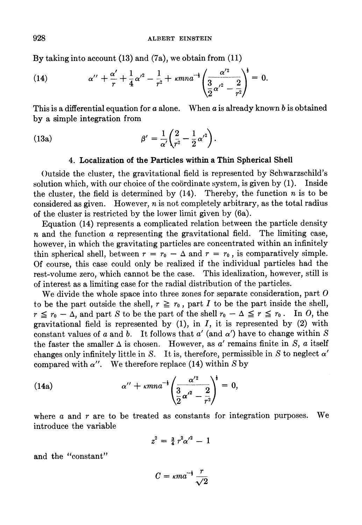By taking into account (13) and (7a), we obtain from (11)

(14) 
$$
\alpha'' + \frac{\alpha'}{r} + \frac{1}{4}\alpha'^2 - \frac{1}{r^2} + \kappa mn a^{-1} \left( \frac{\alpha'^2}{\frac{3}{2}\alpha'^2 - \frac{2}{r^2}} \right)^{\frac{1}{2}} = 0.
$$

This is a differential equation for  $a$  alone. When  $a$  is already known  $b$  is obtained by a simple integration from

(13a) 
$$
\beta' = \frac{1}{\alpha'} \left( \frac{2}{r^2} - \frac{1}{2} {\alpha'}^2 \right).
$$

#### 4. Localization of the Particles within a Thin Spherical Shell

Outside the cluster, the gravitational field is represented by Schwarzschild's solution which, with our choice of the coordinate system, is given by (1). Inside the cluster, the field is determined by  $(14)$ . Thereby, the function *n* is to be considered as given. However,  $n$  is not completely arbitrary, as the total radius of the cluster is restricted by the lower limit given by (6a).

Equation (14) represents a complicated relation between the particle density  $n$  and the function  $\alpha$  representing the gravitational field. The limiting case, however, in which the gravitating particles are concentrated within an infinitely thin spherical shell, between  $r = r_0 - \Delta$  and  $r = r_0$ , is comparatively simple. Of course, this case could only be realized if the individual particles had the rest-volume zero, which cannot be the case. This idealization, however, still is of interest as a limiting case for the radial distribution of the particles.

We divide the whole space into three zones for separate consideration, part  $O$ to be the part outside the shell,  $r \ge r_0$ , part I to be the part inside the shell,  $r \le r_0 - \Delta$ , and part S to be the part of the shell  $r_0 - \Delta \le r \le r_0$ . In O, the gravitational field is represented by  $(1)$ , in  $I$ , it is represented by  $(2)$  with constant values of a and b. It follows that  $a'$  (and  $\alpha'$ ) have to change within S the faster the smaller  $\Delta$  is chosen. However, as a' remains finite in S, a itself changes only infinitely little in S. It is, therefore, permissible in S to neglect  $\alpha'$ compared with  $\alpha''$ . We therefore replace (14) within S by

(14a) 
$$
\alpha'' + \kappa mn a^{-1} \left( \frac{\alpha'^2}{\frac{3}{2} \alpha'^2 - \frac{2}{r^2}} \right)^{\frac{1}{2}} = 0,
$$

where  $a$  and  $r$  are to be treated as constants for integration purposes. We introduce the variable

$$
z^2 = \frac{3}{4} r^2 \alpha'^2 - 1
$$

and the "constant"

$$
C = \kappa m a^{-\frac{1}{2}} \frac{r}{\sqrt{2}}
$$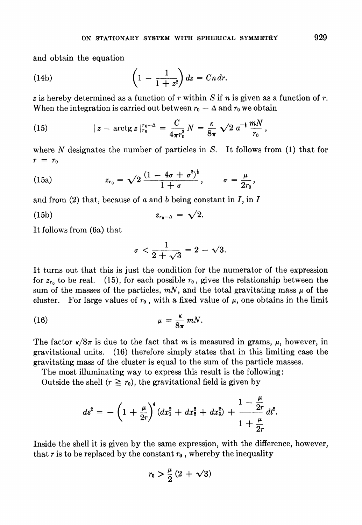and obtain the equation

(14b) 
$$
\left(1-\frac{1}{1+z^2}\right)dz = Cndr.
$$

z is hereby determined as a function of r within S if n is given as a function of r. When the integration is carried out between  $r_0 - \Delta$  and  $r_0$  we obtain

(15) 
$$
|z - \arctg z|_{r_0}^{r_0-\Delta} = \frac{C}{4\pi r_0^2} N = \frac{\kappa}{8\pi} \sqrt{2} a^{-\frac{1}{2}} \frac{mN}{r_0},
$$

where  $N$  designates the number of particles in  $S$ . It follows from (1) that for  $r = r_0$ 

(15a) 
$$
z_{r_0} = \sqrt{2} \frac{(1 - 4\sigma + \sigma^2)^{\frac{1}{2}}}{1 + \sigma}, \qquad \sigma = \frac{\mu}{2r_0},
$$

and from  $(2)$  that, because of a and b being constant in I, in I

$$
(15b) \t\t\t z_{r_0-\Delta} = \sqrt{2}.
$$

It follows from (6a) that

$$
\sigma < \frac{1}{2+\sqrt{3}} = 2 - \sqrt{3}.
$$

It turns out that this is just the condition for the numerator of the expression for  $z_{r_0}$  to be real. (15), for each possible  $r_0$ , gives the relationship between the sum of the masses of the particles,  $mN$ , and the total gravitating mass  $\mu$  of the cluster. For large values of  $r_0$ , with a fixed value of  $\mu$ , one obtains in the limit

(16) 
$$
\mu = \frac{\kappa}{8\pi} mN.
$$

The factor  $\kappa/8\pi$  is due to the fact that m is measured in grams,  $\mu$ , however, in gravitational units. (16) therefore simply states that in this limiting case the gravitating mass of the cluster is equal to the sum of the particle masses.

The most illuminating way to express this result is the following:

Outside the shell  $(r \ge r_0)$ , the gravitational field is given by

$$
ds^{2} = -\left(1 + \frac{\mu}{2r}\right)^{4} \left(dx_{1}^{2} + dx_{2}^{2} + dx_{3}^{2}\right) + \frac{1 - \frac{\mu}{2r}}{1 + \frac{\mu}{2r}} dt^{2}.
$$

Inside the shell it is given by the same expression, with the difference, however, that r is to be replaced by the constant  $r_0$ , whereby the inequality

$$
r_0 > \frac{\mu}{2} (2 + \sqrt{3})
$$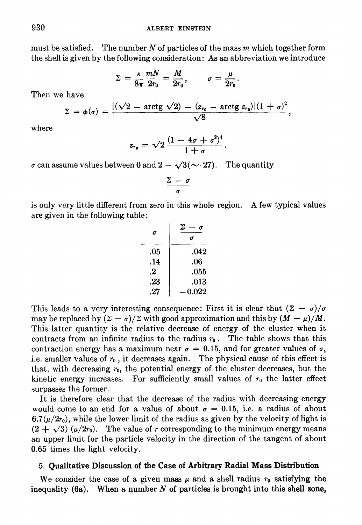must be satisfied. The number N of particles of the mass  $m$  which together form the shell is given by the following consideration: As an abbreviation we introduce

$$
\Sigma = \frac{\kappa}{8\pi} \frac{mN}{2r_0} = \frac{M}{2r_0}, \qquad \sigma = \frac{\mu}{2r_0}.
$$

Then we have

$$
\Sigma = \phi(\sigma) = \frac{[(\sqrt{2} - \arctg \sqrt{2}) - (z_{r_0} - \arctg z_{r_0})](1+\sigma)^2}{\sqrt{8}},
$$

where

$$
z_{r_0}=\sqrt{2}\,\frac{(1-4\sigma+\sigma^2)^{\frac{1}{2}}}{1+\sigma}
$$

 $\sigma$  can assume values between 0 and  $2 - \sqrt{3}(\sim 27)$ . The quantity

$$
\frac{\Sigma - \sigma}{\sigma}
$$

is only very little different from zero in this whole region. A few typical values are given in the following table:

| σ   | Σ<br>0 |
|-----|--------|
| .05 | .042   |
| .14 | .06    |
| .2  | .055   |
| .23 | .013   |
| .27 | 0.022  |

This leads to a very interesting consequence: First it is clear that  $(\Sigma - \sigma)/\sigma$ may be replaced by  $(\Sigma - \sigma)/\Sigma$  with good approximation and this by  $(M - \mu)/M$ . This latter quantity is the relative decrease of energy of the cluster when it contracts from an infinite radius to the radius  $r_0$ . The table shows that this contraction energy has a maximum near  $\sigma = 0.15$ , and for greater values of  $\sigma$ . i.e. smaller values of  $r_0$ , it decreases again. The physical cause of this effect is that, with decreasing  $r_0$ , the potential energy of the cluster decreases, but the kinetic energy increases. For sufficiently small values of  $r_0$  the latter effect surpasses the former.

It is therefore clear that the decrease of the radius with decreasing energy would come to an end for a value of about  $\sigma = 0.15$ , i.e. a radius of about  $6.7(\mu/2r_0)$ , while the lower limit of the radius as given by the velocity of light is  $(2 + \sqrt{3}) (\mu/2r_0)$ . The value of r corresponding to the minimum energy means an upper limit for the particle velocity in the direction of the tangent of about 0.65 times the light velocity.

### 5. Qualitative Discussion of the Case of Arbitrary Radial Mass Distribution

We consider the case of a given mass  $\mu$  and a shell radius  $r_0$  satisfying the inequality (6a). When a number  $N$  of particles is brought into this shell zone,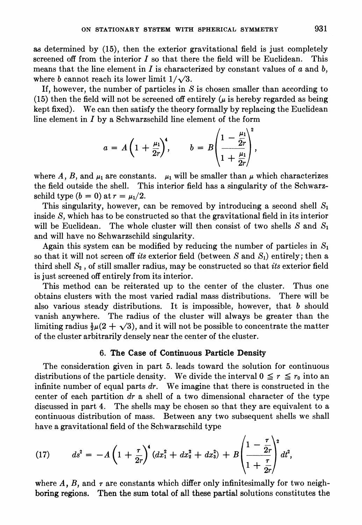as determined by (15), then the exterior gravitational field is just completely screened off from the interior  $I$  so that there the field will be Euclidean. This means that the line element in I is characterized by constant values of a and b, where b cannot reach its lower limit  $1/\sqrt{3}$ .

If, however, the number of particles in  $S$  is chosen smaller than according to (15) then the field will not be screened off entirely  $(\mu$  is hereby regarded as being kept fixed). We can then satisfy the theory formally by replacing the Euclidean line element in  $I$  by a Schwarzschild line element of the form

$$
a = A\left(1 + \frac{\mu_1}{2r}\right)^4, \qquad b = B\left(\frac{1 - \frac{\mu_1}{2r}}{1 + \frac{\mu_1}{2r}}\right)^2
$$

where A, B, and  $\mu_1$  are constants.  $\mu_1$  will be smaller than  $\mu$  which characterizes the field outside the shell. This interior field has a singularity of the Schwarzschild type  $(b = 0)$  at  $r = \mu_1/2$ .

This singularity, however, can be removed by introducing a second shell  $S_1$ inside S, which has to be constructed so that the gravitational field in its interior will be Euclidean. The whole cluster will then consist of two shells S and  $S_1$ and will have no Schwarzschild singularity.

Again this system can be modified by reducing the number of particles in  $S_1$ so that it will not screen off its exterior field (between S and  $S_1$ ) entirely; then a third shell  $S_2$ , of still smaller radius, may be constructed so that *its* exterior field is just screened off entirely from its interior.

This method can be reiterated up to the center of the cluster. Thus one obtains clusters with the most varied radial mass distributions. There will be also various steady distributions. It is impossible, however, that  $b$  should vanish anywhere. The radius of the cluster will always be greater than the limiting radius  $\frac{1}{2}\mu(2 + \sqrt{3})$ , and it will not be possible to concentrate the matter of the cluster arbitrarily densely near the center of the cluster.

#### 6. The Case of Continuous Particle Density

The consideration given in part 5. leads toward the solution for continuous distributions of the particle density. We divide the interval  $0 \le r \le r_0$  into an infinite number of equal parts  $dr$ . We imagine that there is constructed in the center of each partition  $dr$  a shell of a two dimensional character of the type discussed in part 4. The shells may be chosen so that they are equivalent to a continuous distribution of mass. Between any two subsequent shells we shall have a gravitational field of the Schwarzschild type

(17) 
$$
ds^{2} = -A\left(1 + \frac{\tau}{2r}\right)^{4} (dx_{1}^{2} + dx_{2}^{2} + dx_{3}^{2}) + B\left(\frac{1 - \frac{\tau}{2r}}{1 + \frac{\tau}{2r}}\right)^{2} dt^{2},
$$

where A, B, and  $\tau$  are constants which differ only infinitesimally for two neighboring regions. Then the sum total of all these partial solutions constitutes the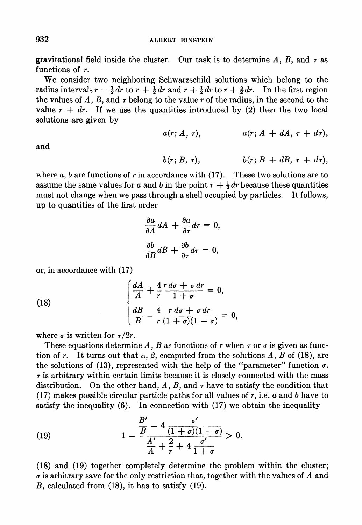gravitational field inside the cluster. Our task is to determine A, B, and  $\tau$  as functions of r.

We consider two neighboring Schwarzschild solutions which belong to the radius intervals  $r - \frac{1}{2} dr$  to  $r + \frac{1}{2} dr$  and  $r + \frac{1}{2} dr$  to  $r + \frac{3}{2} dr$ . In the first region the values of  $A$ ,  $B$ , and  $\tau$  belong to the value  $r$  of the radius, in the second to the value  $r + dr$ . If we use the quantities introduced by (2) then the two local solutions are given by

$$
a(r; A, \tau), \qquad a(r; A + dA, \tau + d\tau),
$$

and

$$
b(r; B, \tau), \qquad b(r; B + dB, \tau + d\tau),
$$

where  $a, b$  are functions of  $r$  in accordance with (17). These two solutions are to assume the same values for a and b in the point  $r + \frac{1}{2} dr$  because these quantities must not change when we pass through a shell occupied by particles. It follows, up to quantities of the first order

$$
\frac{\partial a}{\partial A} dA + \frac{\partial a}{\partial \tau} d\tau = 0,
$$
  

$$
\frac{\partial b}{\partial B} dB + \frac{\partial b}{\partial \tau} d\tau = 0,
$$

or, in accordance with (17)

(18) 
$$
\begin{cases} \frac{dA}{A} + \frac{4}{r} \frac{r d\sigma + \sigma dr}{1 + \sigma} = 0, \\ \frac{dB}{B} - \frac{4}{r} \frac{r d\sigma + \sigma dr}{(1 + \sigma)(1 - \sigma)} = 0, \end{cases}
$$

where  $\sigma$  is written for  $\tau/2r$ .

These equations determine A, B as functions of r when  $\tau$  or  $\sigma$  is given as function of r. It turns out that  $\alpha$ ,  $\beta$ , computed from the solutions A, B of (18), are the solutions of (13), represented with the help of the "parameter" function  $\sigma$ .  $\tau$  is arbitrary within certain limits because it is closely connected with the mass distribution. On the other hand,  $A$ ,  $B$ , and  $\tau$  have to satisfy the condition that (17) makes possible circular particle paths for all values of  $r$ , i.e.  $a$  and  $b$  have to satisfy the inequality  $(6)$ . In connection with  $(17)$  we obtain the inequality

(19) 
$$
1 - \frac{\frac{B'}{B} - 4\frac{\sigma'}{(1+\sigma)(1-\sigma)}}{\frac{A'}{A} + \frac{2}{r} + 4\frac{\sigma'}{1+\sigma}} > 0.
$$

(18) and (19) together completely determine the problem within the cluster;  $\sigma$  is arbitrary save for the only restriction that, together with the values of A and B, calculated from (18), it has to satisfy (19).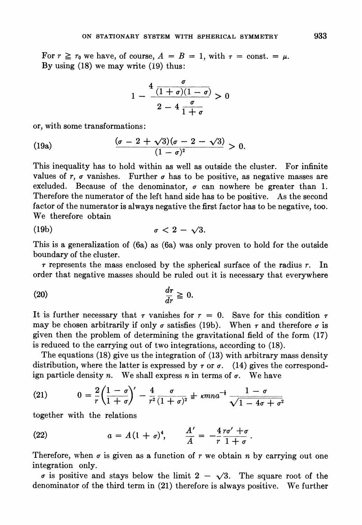For  $r \ge r_0$  we have, of course,  $A = B = 1$ , with  $\tau = \text{const.} = \mu$ . By using (18) we may write (19) thus:

$$
1 - \frac{4 \frac{\sigma}{(1+\sigma)(1-\sigma)}}{2-4 \frac{\sigma}{1+\sigma}} > 0
$$

or, with some transformations:

(19a) 
$$
\frac{(\sigma - 2 + \sqrt{3})(\sigma - 2 - \sqrt{3})}{(1 - \sigma)^2} > 0.
$$

This inequality has to hold within as well as outside the cluster. For infinite values of  $r$ ,  $\sigma$  vanishes. Further  $\sigma$  has to be positive, as negative masses are excluded. Because of the denominator,  $\sigma$  can nowhere be greater than 1. Therefore the numerator of the left hand side has to be positive. As the second factor of the numerator is always negative the first factor has to be negative, too. We therefore obtain

$$
\sigma < 2 - \sqrt{3}.
$$

This is a generalization of (6a) as (6a) was only proven to hold for the outside boundary of the cluster.

 $\tau$  represents the mass enclosed by the spherical surface of the radius  $r$ . In order that negative masses should be ruled out it is necessary that everywhere

$$
\frac{d\tau}{dr} \geq 0.
$$

It is further necessary that r vanishes for  $r = 0$ . Save for this condition r may be chosen arbitrarily if only  $\sigma$  satisfies (19b). When  $\tau$  and therefore  $\sigma$  is given then the problem of determining the gravitational field of the form (17) is reduced to the carrying out of two integrations, according to (18).

The equations (18) give us the integration of (13) with arbitrary mass density distribution, where the latter is expressed by  $\tau$  or  $\sigma$ . (14) gives the correspondign particle density n. We shall express n in terms of  $\sigma$ . We have

(21) 
$$
0 = \frac{2}{r} \left( \frac{1 - \sigma}{1 + \sigma} \right)' - \frac{4}{r^2} \frac{\sigma}{(1 + \sigma)^2} \pm \kappa m n a^{-\frac{1}{2}} \frac{1 - \sigma}{\sqrt{1 - 4\sigma + \sigma^2}}
$$

together with the relations

(22) 
$$
a = A(1 + \sigma)^4, \qquad \frac{A'}{A} = -\frac{4 \, r \sigma' + \sigma}{r \, 1 + \sigma}.
$$

Therefore, when  $\sigma$  is given as a function of r we obtain n by carrying out one integration only.

 $\sigma$  is positive and stays below the limit  $2 - \sqrt{3}$ . The square root of the denominator of the third term in (21) therefore is always positive. We further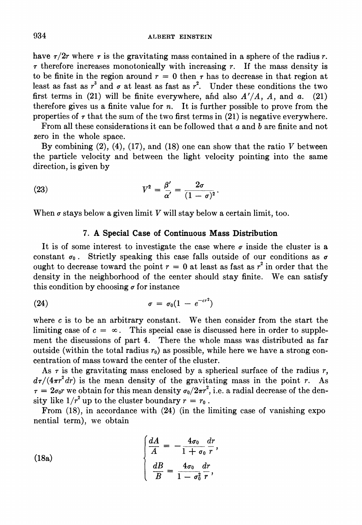have  $\tau/2r$  where  $\tau$  is the gravitating mass contained in a sphere of the radius r.  $\tau$  therefore increases monotonically with increasing  $r$ . If the mass density is to be finite in the region around  $r = 0$  then r has to decrease in that region at least as fast as  $r^3$  and  $\sigma$  at least as fast as  $r^2$ . Under these conditions the two first terms in (21) will be finite everywhere, and also  $A'/A$ , A, and a. (21) therefore gives us a finite value for  $n$ . It is further possible to prove from the properties of  $\tau$  that the sum of the two first terms in (21) is negative everywhere.

From all these considerations it can be followed that a and b are finite and not zero in the whole space.

By combining  $(2)$ ,  $(4)$ ,  $(17)$ , and  $(18)$  one can show that the ratio V between the particle velocity and between the light velocity pointing into the same direction, is given by

(23) 
$$
V^2 = \frac{\beta'}{\alpha'} = \frac{2\sigma}{(1-\sigma)^2}.
$$

When  $\sigma$  stays below a given limit V will stay below a certain limit, too.

## 7. A Special Case of Continuous Mass Distribution

It is of some interest to investigate the case where  $\sigma$  inside the cluster is a constant  $\sigma_0$ . Strictly speaking this case falls outside of our conditions as  $\sigma$ ought to decrease toward the point  $r = 0$  at least as fast as  $r^2$  in order that the density in the neighborhood of the center should stay finite. We can satisfy this condition by choosing  $\sigma$  for instance

$$
\sigma = \sigma_0 (1 - e^{-c r^2})
$$

where  $c$  is to be an arbitrary constant. We then consider from the start the limiting case of  $c = \infty$ . This special case is discussed here in order to supplement the discussions of part 4. There the whole mass was distributed as far outside (within the total radius  $r_0$ ) as possible, while here we have a strong concentration of mass toward the center of the cluster.

As  $\tau$  is the gravitating mass enclosed by a spherical surface of the radius r,  $d\tau/(4\pi r^2 dr)$  is the mean density of the gravitating mass in the point r. As  $\tau = 2\sigma_0 r$  we obtain for this mean density  $\sigma_0/2\pi r^2$ , i.e. a radial decrease of the density like  $1/r^2$  up to the cluster boundary  $r = r_0$ .

From (18), in accordance with (24) (in the limiting case of vanishing expo nential term), we obtain

(18a)  

$$
\begin{cases}\n\frac{dA}{A} = -\frac{4\sigma_0}{1 + \sigma_0} \frac{dr}{r},\\
\frac{dB}{B} = \frac{4\sigma_0}{1 - \sigma_0^2} \frac{dr}{r},\n\end{cases}
$$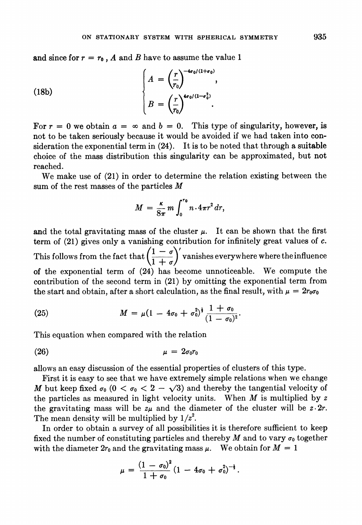and since for  $r = r_0$ , A and B have to assume the value 1

(18b)
$$
\begin{cases}\nA = \left(\frac{r}{r_0}\right)^{-4\sigma_0/(1+\sigma_0)},\\
B = \left(\frac{r}{r_0}\right)^{4\sigma_0/(1-\sigma_0^2)}. \n\end{cases}
$$

For  $r = 0$  we obtain  $a = \infty$  and  $b = 0$ . This type of singularity, however, is not to be taken seriously because it would be avoided if we had taken into consideration the exponential term in (24). It is to be noted that through a suitable choice of the mass distribution this singularity can be approximated, but not reached.

We make use of (21) in order to determine the relation existing between the sum of the rest masses of the particles  $M$ 

$$
M = \frac{\kappa}{8\pi} m \int_0^{r_0} n \cdot 4\pi r^2 dr,
$$

and the total gravitating mass of the cluster  $\mu$ . It can be shown that the first term of (21) gives only a vanishing contribution for infinitely great values of c. This follows from the fact that  $\left(\frac{1-\sigma}{1+\sigma}\right)'$  vanishes everywhere where the influence of the exponential term of (24) has become unnoticeable. We compute the contribution of the second term in (21) by omitting the exponential term from the start and obtain, after a short calculation, as the final result, with  $\mu = 2r_0\sigma_0$ 

(25) 
$$
M = \mu (1 - 4\sigma_0 + \sigma_0^2)^{\frac{1}{2}} \frac{1 + \sigma_0}{(1 - \sigma_0)^2}.
$$

This equation when compared with the relation

$$
\mu = 2\sigma_0 r_0
$$

allows an easy discussion of the essential properties of clusters of this type.

First it is easy to see that we have extremely simple relations when we change M but keep fixed  $\sigma_0$  ( $0 < \sigma_0 < 2 - \sqrt{3}$ ) and thereby the tangential velocity of the particles as measured in light velocity units. When  $M$  is multiplied by  $z$ the gravitating mass will be  $z\mu$  and the diameter of the cluster will be  $z \cdot 2r$ . The mean density will be multiplied by  $1/z^2$ .

In order to obtain a survey of all possibilities it is therefore sufficient to keep fixed the number of constituting particles and thereby M and to vary  $\sigma_0$  together with the diameter  $2r_0$  and the gravitating mass  $\mu$ . We obtain for  $M = 1$ 

$$
\mu = \frac{(1-\sigma_0)^2}{1+\sigma_0} (1-4\sigma_0+\sigma_0^2)^{-\frac{1}{2}}.
$$